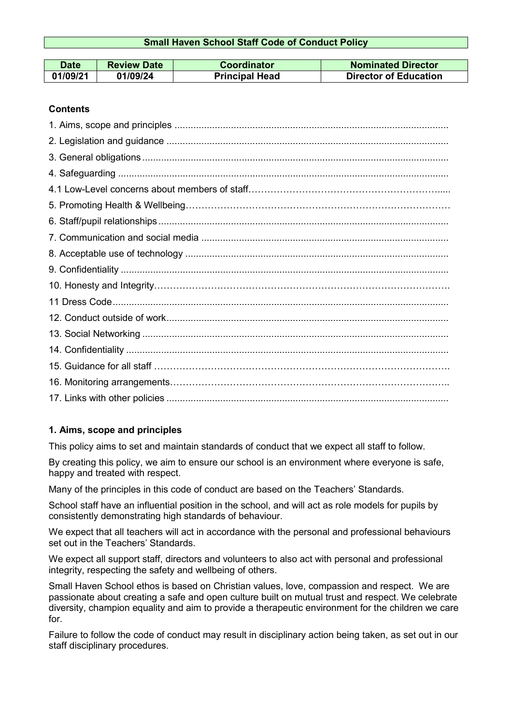### **Small Haven School Staff Code of Conduct Policy**

| <b>Date</b> | <b>Review Date</b> | Coordinator           | <b>Nominated Director</b>    |
|-------------|--------------------|-----------------------|------------------------------|
| 01/09/21    | 01/09/24           | <b>Principal Head</b> | <b>Director of Education</b> |

### **Contents**

## **1. Aims, scope and principles**

This policy aims to set and maintain standards of conduct that we expect all staff to follow.

By creating this policy, we aim to ensure our school is an environment where everyone is safe, happy and treated with respect.

Many of the principles in this code of conduct are based on the Teachers' [Standards.](https://www.gov.uk/government/uploads/system/uploads/attachment_data/file/301107/Teachers__Standards.pdf)

School staff have an influential position in the school, and will act as role models for pupils by consistently demonstrating high standards of behaviour.

We expect that all teachers will act in accordance with the personal and professional behaviours set out in the Teachers' Standards.

We expect all support staff, directors and volunteers to also act with personal and professional integrity, respecting the safety and wellbeing of others.

Small Haven School ethos is based on Christian values, love, compassion and respect. We are passionate about creating a safe and open culture built on mutual trust and respect. We celebrate diversity, champion equality and aim to provide a therapeutic environment for the children we care for.

Failure to follow the code of conduct may result in disciplinary action being taken, as set out in our staff disciplinary procedures.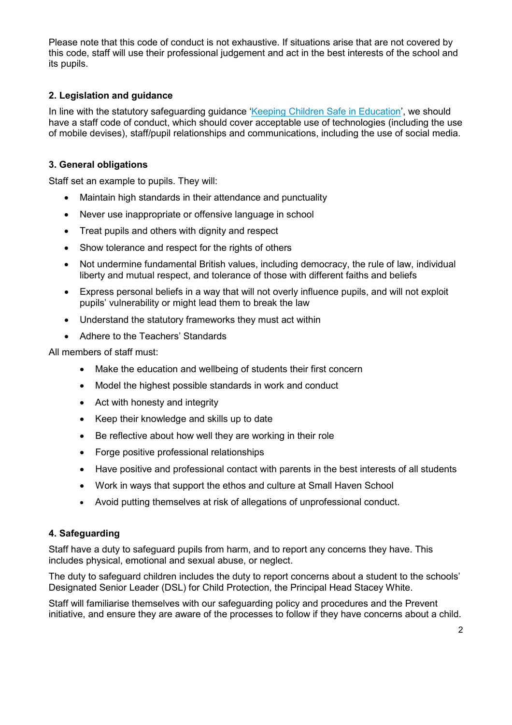Please note that this code of conduct is not exhaustive. If situations arise that are not covered by this code, staff will use their professional judgement and act in the best interests of the school and its pupils.

## **2. Legislation and guidance**

In line with the statutory safeguarding guidance ['Keeping Children Safe in Education'](https://www.gov.uk/government/publications/keeping-children-safe-in-education--2), we should have a staff code of conduct, which should cover acceptable use of technologies (including the use of mobile devises), staff/pupil relationships and communications, including the use of social media.

# **3. General obligations**

Staff set an example to pupils. They will:

- Maintain high standards in their attendance and punctuality
- Never use inappropriate or offensive language in school
- Treat pupils and others with dignity and respect
- Show tolerance and respect for the rights of others
- Not undermine fundamental British values, including democracy, the rule of law, individual liberty and mutual respect, and tolerance of those with different faiths and beliefs
- Express personal beliefs in a way that will not overly influence pupils, and will not exploit pupils' vulnerability or might lead them to break the law
- Understand the statutory frameworks they must act within
- Adhere to the Teachers' Standards

All members of staff must:

- Make the education and wellbeing of students their first concern
- Model the highest possible standards in work and conduct
- Act with honesty and integrity
- Keep their knowledge and skills up to date
- Be reflective about how well they are working in their role
- Forge positive professional relationships
- Have positive and professional contact with parents in the best interests of all students
- Work in ways that support the ethos and culture at Small Haven School
- Avoid putting themselves at risk of allegations of unprofessional conduct.

### **4. Safeguarding**

Staff have a duty to safeguard pupils from harm, and to report any concerns they have. This includes physical, emotional and sexual abuse, or neglect.

The duty to safeguard children includes the duty to report concerns about a student to the schools' Designated Senior Leader (DSL) for Child Protection, the Principal Head Stacey White.

Staff will familiarise themselves with our safeguarding policy and procedures and the Prevent initiative, and ensure they are aware of the processes to follow if they have concerns about a child.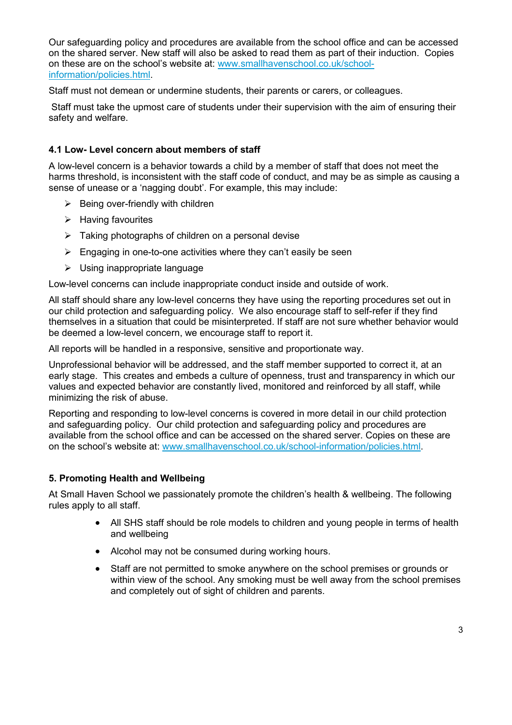Our safeguarding policy and procedures are available from the school office and can be accessed on the shared server. New staff will also be asked to read them as part of their induction. Copies on these are on the school's website at: [www.smallhavenschool.co.uk/school](http://www.smallhavenschool.co.uk/school-information/policies.html)[information/policies.html.](http://www.smallhavenschool.co.uk/school-information/policies.html)

Staff must not demean or undermine students, their parents or carers, or colleagues.

Staff must take the upmost care of students under their supervision with the aim of ensuring their safety and welfare.

### **4.1 Low- Level concern about members of staff**

A low-level concern is a behavior towards a child by a member of staff that does not meet the harms threshold, is inconsistent with the staff code of conduct, and may be as simple as causing a sense of unease or a 'nagging doubt'. For example, this may include:

- $\triangleright$  Being over-friendly with children
- $\triangleright$  Having favourites
- $\triangleright$  Taking photographs of children on a personal devise
- $\triangleright$  Engaging in one-to-one activities where they can't easily be seen
- $\triangleright$  Using inappropriate language

Low-level concerns can include inappropriate conduct inside and outside of work.

All staff should share any low-level concerns they have using the reporting procedures set out in our child protection and safeguarding policy. We also encourage staff to self-refer if they find themselves in a situation that could be misinterpreted. If staff are not sure whether behavior would be deemed a low-level concern, we encourage staff to report it.

All reports will be handled in a responsive, sensitive and proportionate way.

Unprofessional behavior will be addressed, and the staff member supported to correct it, at an early stage. This creates and embeds a culture of openness, trust and transparency in which our values and expected behavior are constantly lived, monitored and reinforced by all staff, while minimizing the risk of abuse.

Reporting and responding to low-level concerns is covered in more detail in our child protection and safeguarding policy. Our child protection and safeguarding policy and procedures are available from the school office and can be accessed on the shared server. Copies on these are on the school's website at: [www.smallhavenschool.co.uk/school-information/policies.html.](http://www.smallhavenschool.co.uk/school-information/policies.html)

### **5. Promoting Health and Wellbeing**

At Small Haven School we passionately promote the children's health & wellbeing. The following rules apply to all staff.

- All SHS staff should be role models to children and young people in terms of health and wellbeing
- Alcohol may not be consumed during working hours.
- Staff are not permitted to smoke anywhere on the school premises or grounds or within view of the school. Any smoking must be well away from the school premises and completely out of sight of children and parents.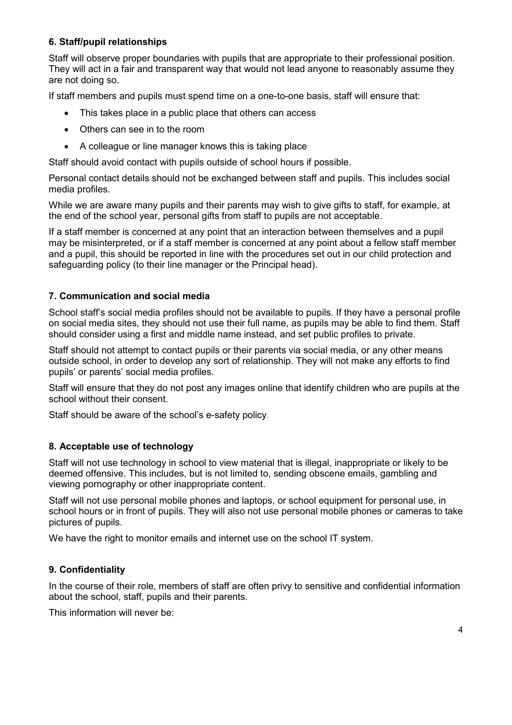## **6. Staff/pupil relationships**

Staff will observe proper boundaries with pupils that are appropriate to their professional position. They will act in a fair and transparent way that would not lead anyone to reasonably assume they are not doing so.

If staff members and pupils must spend time on a one-to-one basis, staff will ensure that:

- This takes place in a public place that others can access
- Others can see in to the room
- A colleague or line manager knows this is taking place

Staff should avoid contact with pupils outside of school hours if possible.

Personal contact details should not be exchanged between staff and pupils. This includes social media profiles.

While we are aware many pupils and their parents may wish to give gifts to staff, for example, at the end of the school year, personal gifts from staff to pupils are not acceptable.

If a staff member is concerned at any point that an interaction between themselves and a pupil may be misinterpreted, or if a staff member is concerned at any point about a fellow staff member and a pupil, this should be reported in line with the procedures set out in our child protection and safeguarding policy (to their line manager or the Principal head).

### **7. Communication and social media**

School staff's social media profiles should not be available to pupils. If they have a personal profile on social media sites, they should not use their full name, as pupils may be able to find them. Staff should consider using a first and middle name instead, and set public profiles to private.

Staff should not attempt to contact pupils or their parents via social media, or any other means outside school, in order to develop any sort of relationship. They will not make any efforts to find pupils' or parents' social media profiles.

Staff will ensure that they do not post any images online that identify children who are pupils at the school without their consent.

Staff should be aware of the school's e-safety policy*.*

#### **8. Acceptable use of technology**

Staff will not use technology in school to view material that is illegal, inappropriate or likely to be deemed offensive. This includes, but is not limited to, sending obscene emails, gambling and viewing pornography or other inappropriate content.

Staff will not use personal mobile phones and laptops, or school equipment for personal use, in school hours or in front of pupils. They will also not use personal mobile phones or cameras to take pictures of pupils.

We have the right to monitor emails and internet use on the school IT system.

#### **9. Confidentiality**

In the course of their role, members of staff are often privy to sensitive and confidential information about the school, staff, pupils and their parents.

This information will never be: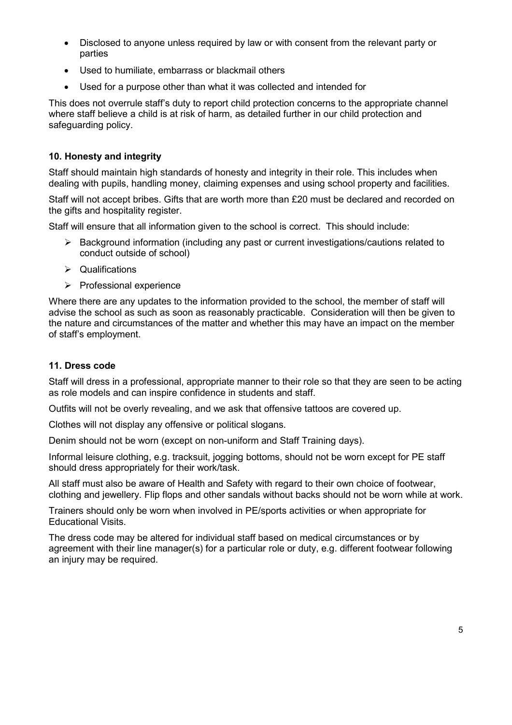- Disclosed to anyone unless required by law or with consent from the relevant party or parties
- Used to humiliate, embarrass or blackmail others
- Used for a purpose other than what it was collected and intended for

This does not overrule staff's duty to report child protection concerns to the appropriate channel where staff believe a child is at risk of harm, as detailed further in our child protection and safeguarding policy.

## **10. Honesty and integrity**

Staff should maintain high standards of honesty and integrity in their role. This includes when dealing with pupils, handling money, claiming expenses and using school property and facilities.

Staff will not accept bribes. Gifts that are worth more than £20 must be declared and recorded on the gifts and hospitality register.

Staff will ensure that all information given to the school is correct. This should include:

- $\triangleright$  Background information (including any past or current investigations/cautions related to conduct outside of school)
- $\triangleright$  Qualifications
- $\triangleright$  Professional experience

Where there are any updates to the information provided to the school, the member of staff will advise the school as such as soon as reasonably practicable. Consideration will then be given to the nature and circumstances of the matter and whether this may have an impact on the member of staff's employment.

### **11. Dress code**

Staff will dress in a professional, appropriate manner to their role so that they are seen to be acting as role models and can inspire confidence in students and staff.

Outfits will not be overly revealing, and we ask that offensive tattoos are covered up.

Clothes will not display any offensive or political slogans.

Denim should not be worn (except on non-uniform and Staff Training days).

Informal leisure clothing, e.g. tracksuit, jogging bottoms, should not be worn except for PE staff should dress appropriately for their work/task.

All staff must also be aware of Health and Safety with regard to their own choice of footwear, clothing and jewellery. Flip flops and other sandals without backs should not be worn while at work.

Trainers should only be worn when involved in PE/sports activities or when appropriate for Educational Visits.

The dress code may be altered for individual staff based on medical circumstances or by agreement with their line manager(s) for a particular role or duty, e.g. different footwear following an injury may be required.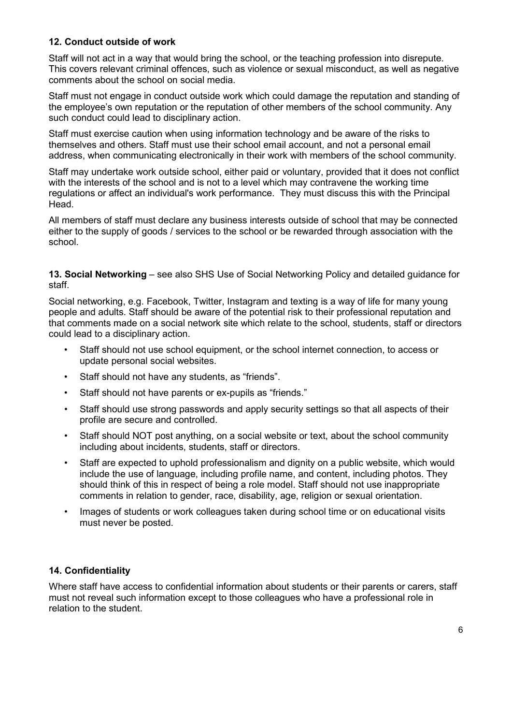### **12. Conduct outside of work**

Staff will not act in a way that would bring the school, or the teaching profession into disrepute. This covers relevant criminal offences, such as violence or sexual misconduct, as well as negative comments about the school on social media.

Staff must not engage in conduct outside work which could damage the reputation and standing of the employee's own reputation or the reputation of other members of the school community. Any such conduct could lead to disciplinary action.

Staff must exercise caution when using information technology and be aware of the risks to themselves and others. Staff must use their school email account, and not a personal email address, when communicating electronically in their work with members of the school community.

Staff may undertake work outside school, either paid or voluntary, provided that it does not conflict with the interests of the school and is not to a level which may contravene the working time regulations or affect an individual's work performance. They must discuss this with the Principal Head.

All members of staff must declare any business interests outside of school that may be connected either to the supply of goods / services to the school or be rewarded through association with the school.

**13. Social Networking** – see also SHS Use of Social Networking Policy and detailed guidance for staff.

Social networking, e.g. Facebook, Twitter, Instagram and texting is a way of life for many young people and adults. Staff should be aware of the potential risk to their professional reputation and that comments made on a social network site which relate to the school, students, staff or directors could lead to a disciplinary action.

- Staff should not use school equipment, or the school internet connection, to access or update personal social websites.
- Staff should not have any students, as "friends".
- Staff should not have parents or ex-pupils as "friends."
- Staff should use strong passwords and apply security settings so that all aspects of their profile are secure and controlled.
- Staff should NOT post anything, on a social website or text, about the school community including about incidents, students, staff or directors.
- Staff are expected to uphold professionalism and dignity on a public website, which would include the use of language, including profile name, and content, including photos. They should think of this in respect of being a role model. Staff should not use inappropriate comments in relation to gender, race, disability, age, religion or sexual orientation.
- Images of students or work colleagues taken during school time or on educational visits must never be posted.

## **14. Confidentiality**

Where staff have access to confidential information about students or their parents or carers, staff must not reveal such information except to those colleagues who have a professional role in relation to the student.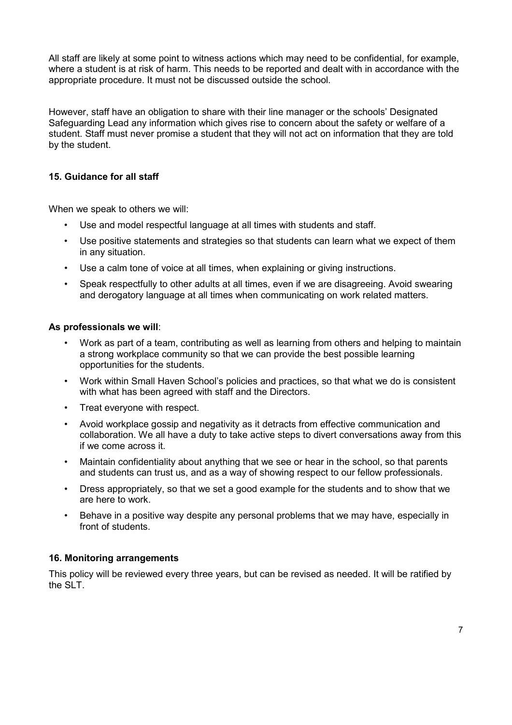All staff are likely at some point to witness actions which may need to be confidential, for example, where a student is at risk of harm. This needs to be reported and dealt with in accordance with the appropriate procedure. It must not be discussed outside the school.

However, staff have an obligation to share with their line manager or the schools' Designated Safeguarding Lead any information which gives rise to concern about the safety or welfare of a student. Staff must never promise a student that they will not act on information that they are told by the student.

## **15. Guidance for all staff**

When we speak to others we will:

- Use and model respectful language at all times with students and staff.
- Use positive statements and strategies so that students can learn what we expect of them in any situation.
- Use a calm tone of voice at all times, when explaining or giving instructions.
- Speak respectfully to other adults at all times, even if we are disagreeing. Avoid swearing and derogatory language at all times when communicating on work related matters.

### **As professionals we will**:

- Work as part of a team, contributing as well as learning from others and helping to maintain a strong workplace community so that we can provide the best possible learning opportunities for the students.
- Work within Small Haven School's policies and practices, so that what we do is consistent with what has been agreed with staff and the Directors.
- Treat everyone with respect.
- Avoid workplace gossip and negativity as it detracts from effective communication and collaboration. We all have a duty to take active steps to divert conversations away from this if we come across it.
- Maintain confidentiality about anything that we see or hear in the school, so that parents and students can trust us, and as a way of showing respect to our fellow professionals.
- Dress appropriately, so that we set a good example for the students and to show that we are here to work.
- Behave in a positive way despite any personal problems that we may have, especially in front of students.

### **16. Monitoring arrangements**

This policy will be reviewed every three years, but can be revised as needed. It will be ratified by the SLT.